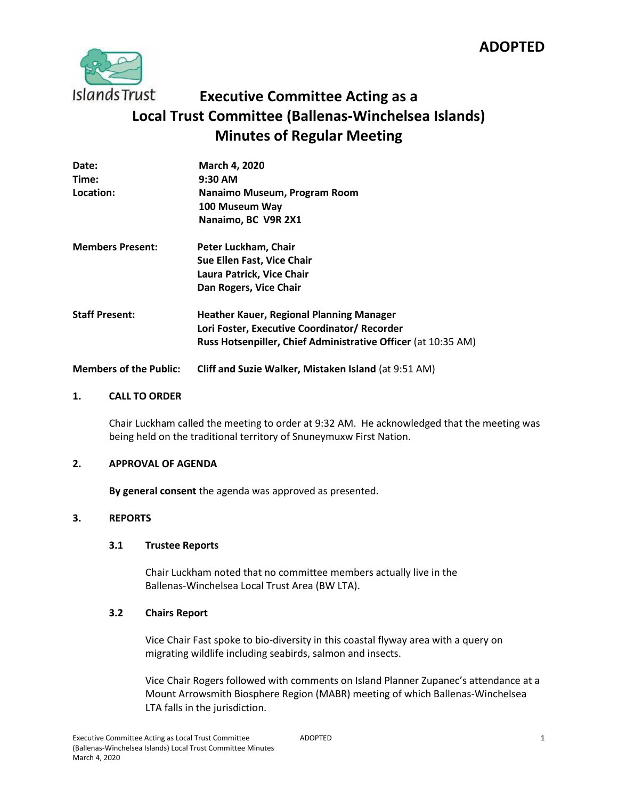# **ADOPTED**



# **Executive Committee Acting as a Local Trust Committee (Ballenas-Winchelsea Islands) Minutes of Regular Meeting**

| Date:                         | March 4, 2020                                                        |
|-------------------------------|----------------------------------------------------------------------|
| Time:                         | $9:30$ AM                                                            |
| Location:                     | Nanaimo Museum, Program Room                                         |
|                               | 100 Museum Way                                                       |
|                               | Nanaimo, BC V9R 2X1                                                  |
| <b>Members Present:</b>       | Peter Luckham, Chair                                                 |
|                               | Sue Ellen Fast, Vice Chair                                           |
|                               | Laura Patrick, Vice Chair                                            |
|                               | Dan Rogers, Vice Chair                                               |
| <b>Staff Present:</b>         | <b>Heather Kauer, Regional Planning Manager</b>                      |
|                               | Lori Foster, Executive Coordinator/ Recorder                         |
|                               | <b>Russ Hotsenpiller, Chief Administrative Officer</b> (at 10:35 AM) |
| <b>Members of the Public:</b> | Cliff and Suzie Walker, Mistaken Island (at 9:51 AM)                 |

## **1. CALL TO ORDER**

Chair Luckham called the meeting to order at 9:32 AM. He acknowledged that the meeting was being held on the traditional territory of Snuneymuxw First Nation.

# **2. APPROVAL OF AGENDA**

**By general consent** the agenda was approved as presented.

# **3. REPORTS**

#### **3.1 Trustee Reports**

Chair Luckham noted that no committee members actually live in the Ballenas-Winchelsea Local Trust Area (BW LTA).

# **3.2 Chairs Report**

Vice Chair Fast spoke to bio-diversity in this coastal flyway area with a query on migrating wildlife including seabirds, salmon and insects.

Vice Chair Rogers followed with comments on Island Planner Zupanec's attendance at a Mount Arrowsmith Biosphere Region (MABR) meeting of which Ballenas-Winchelsea LTA falls in the jurisdiction.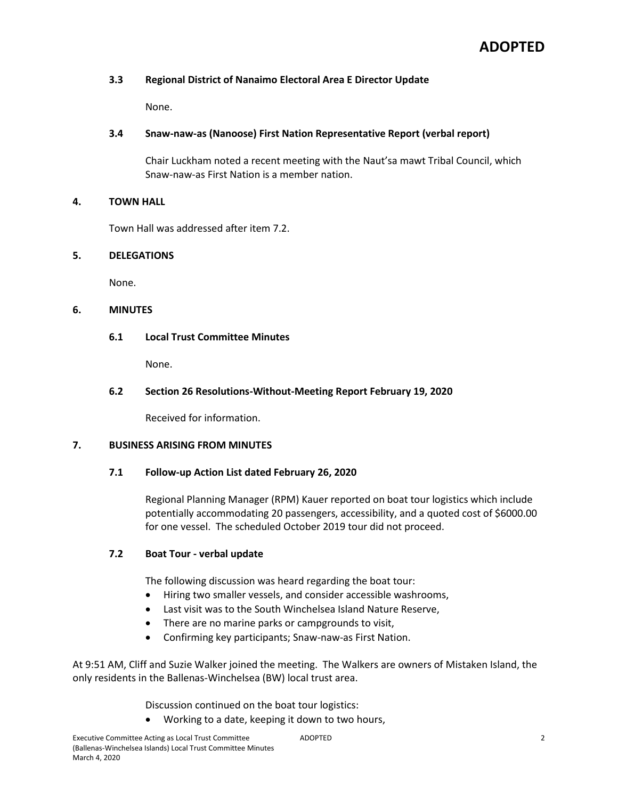# **3.3 Regional District of Nanaimo Electoral Area E Director Update**

None.

# **3.4 Snaw-naw-as (Nanoose) First Nation Representative Report (verbal report)**

Chair Luckham noted a recent meeting with the Naut'sa mawt Tribal Council, which Snaw-naw-as First Nation is a member nation.

# **4. TOWN HALL**

Town Hall was addressed after item 7.2.

# **5. DELEGATIONS**

None.

# **6. MINUTES**

# **6.1 Local Trust Committee Minutes**

None.

# **6.2 Section 26 Resolutions-Without-Meeting Report February 19, 2020**

Received for information.

# **7. BUSINESS ARISING FROM MINUTES**

# **7.1 Follow-up Action List dated February 26, 2020**

Regional Planning Manager (RPM) Kauer reported on boat tour logistics which include potentially accommodating 20 passengers, accessibility, and a quoted cost of \$6000.00 for one vessel. The scheduled October 2019 tour did not proceed.

# **7.2 Boat Tour - verbal update**

The following discussion was heard regarding the boat tour:

- Hiring two smaller vessels, and consider accessible washrooms,
- Last visit was to the South Winchelsea Island Nature Reserve,
- There are no marine parks or campgrounds to visit,
- Confirming key participants; Snaw-naw-as First Nation.

At 9:51 AM, Cliff and Suzie Walker joined the meeting. The Walkers are owners of Mistaken Island, the only residents in the Ballenas-Winchelsea (BW) local trust area.

Discussion continued on the boat tour logistics:

Working to a date, keeping it down to two hours,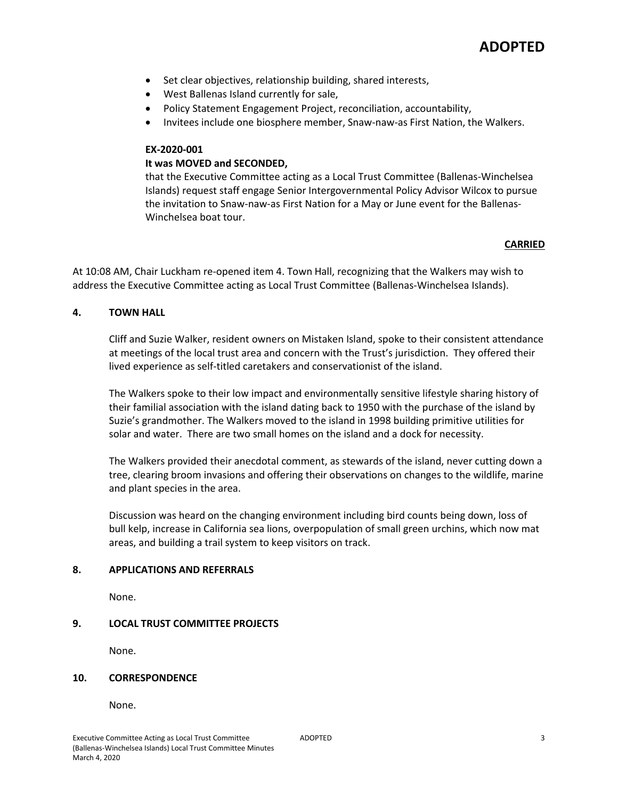- Set clear objectives, relationship building, shared interests,
- West Ballenas Island currently for sale,
- Policy Statement Engagement Project, reconciliation, accountability,
- Invitees include one biosphere member, Snaw-naw-as First Nation, the Walkers.

# **EX-2020-001**

# **It was MOVED and SECONDED,**

that the Executive Committee acting as a Local Trust Committee (Ballenas-Winchelsea Islands) request staff engage Senior Intergovernmental Policy Advisor Wilcox to pursue the invitation to Snaw-naw-as First Nation for a May or June event for the Ballenas-Winchelsea boat tour.

# **CARRIED**

At 10:08 AM, Chair Luckham re-opened item 4. Town Hall, recognizing that the Walkers may wish to address the Executive Committee acting as Local Trust Committee (Ballenas-Winchelsea Islands).

## **4. TOWN HALL**

Cliff and Suzie Walker, resident owners on Mistaken Island, spoke to their consistent attendance at meetings of the local trust area and concern with the Trust's jurisdiction. They offered their lived experience as self-titled caretakers and conservationist of the island.

The Walkers spoke to their low impact and environmentally sensitive lifestyle sharing history of their familial association with the island dating back to 1950 with the purchase of the island by Suzie's grandmother. The Walkers moved to the island in 1998 building primitive utilities for solar and water. There are two small homes on the island and a dock for necessity.

The Walkers provided their anecdotal comment, as stewards of the island, never cutting down a tree, clearing broom invasions and offering their observations on changes to the wildlife, marine and plant species in the area.

Discussion was heard on the changing environment including bird counts being down, loss of bull kelp, increase in California sea lions, overpopulation of small green urchins, which now mat areas, and building a trail system to keep visitors on track.

#### **8. APPLICATIONS AND REFERRALS**

None.

# **9. LOCAL TRUST COMMITTEE PROJECTS**

None.

#### **10. CORRESPONDENCE**

None.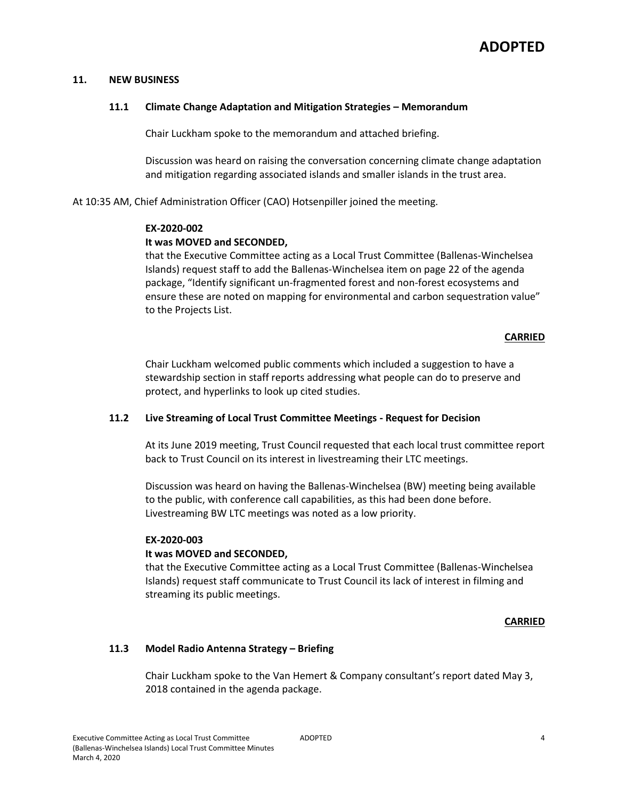### **11. NEW BUSINESS**

### **11.1 Climate Change Adaptation and Mitigation Strategies – Memorandum**

Chair Luckham spoke to the memorandum and attached briefing.

Discussion was heard on raising the conversation concerning climate change adaptation and mitigation regarding associated islands and smaller islands in the trust area.

At 10:35 AM, Chief Administration Officer (CAO) Hotsenpiller joined the meeting.

#### **EX-2020-002**

## **It was MOVED and SECONDED,**

that the Executive Committee acting as a Local Trust Committee (Ballenas-Winchelsea Islands) request staff to add the Ballenas-Winchelsea item on page 22 of the agenda package, "Identify significant un-fragmented forest and non-forest ecosystems and ensure these are noted on mapping for environmental and carbon sequestration value" to the Projects List.

## **CARRIED**

Chair Luckham welcomed public comments which included a suggestion to have a stewardship section in staff reports addressing what people can do to preserve and protect, and hyperlinks to look up cited studies.

# **11.2 Live Streaming of Local Trust Committee Meetings - Request for Decision**

At its June 2019 meeting, Trust Council requested that each local trust committee report back to Trust Council on its interest in livestreaming their LTC meetings.

Discussion was heard on having the Ballenas-Winchelsea (BW) meeting being available to the public, with conference call capabilities, as this had been done before. Livestreaming BW LTC meetings was noted as a low priority.

#### **EX-2020-003**

# **It was MOVED and SECONDED,**

that the Executive Committee acting as a Local Trust Committee (Ballenas-Winchelsea Islands) request staff communicate to Trust Council its lack of interest in filming and streaming its public meetings.

# **CARRIED**

# **11.3 Model Radio Antenna Strategy – Briefing**

Chair Luckham spoke to the Van Hemert & Company consultant's report dated May 3, 2018 contained in the agenda package.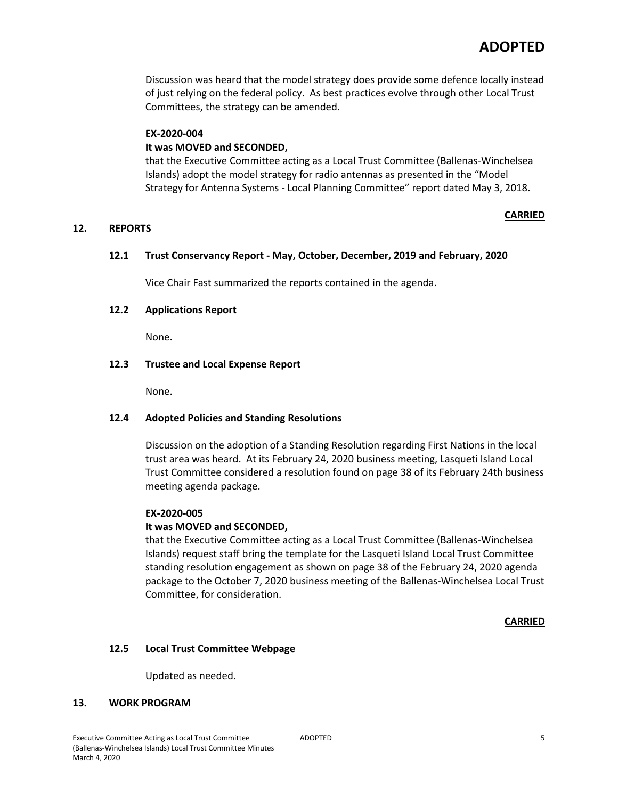Discussion was heard that the model strategy does provide some defence locally instead of just relying on the federal policy. As best practices evolve through other Local Trust Committees, the strategy can be amended.

### **EX-2020-004**

# **It was MOVED and SECONDED,**

that the Executive Committee acting as a Local Trust Committee (Ballenas-Winchelsea Islands) adopt the model strategy for radio antennas as presented in the "Model Strategy for Antenna Systems - Local Planning Committee" report dated May 3, 2018.

## **12. REPORTS**

# **CARRIED**

# **12.1 Trust Conservancy Report - May, October, December, 2019 and February, 2020**

Vice Chair Fast summarized the reports contained in the agenda.

## **12.2 Applications Report**

None.

## **12.3 Trustee and Local Expense Report**

None.

# **12.4 Adopted Policies and Standing Resolutions**

Discussion on the adoption of a Standing Resolution regarding First Nations in the local trust area was heard. At its February 24, 2020 business meeting, Lasqueti Island Local Trust Committee considered a resolution found on page 38 of its February 24th business meeting agenda package.

#### **EX-2020-005**

# **It was MOVED and SECONDED,**

that the Executive Committee acting as a Local Trust Committee (Ballenas-Winchelsea Islands) request staff bring the template for the Lasqueti Island Local Trust Committee standing resolution engagement as shown on page 38 of the February 24, 2020 agenda package to the October 7, 2020 business meeting of the Ballenas-Winchelsea Local Trust Committee, for consideration.

#### **CARRIED**

#### **12.5 Local Trust Committee Webpage**

Updated as needed.

#### **13. WORK PROGRAM**